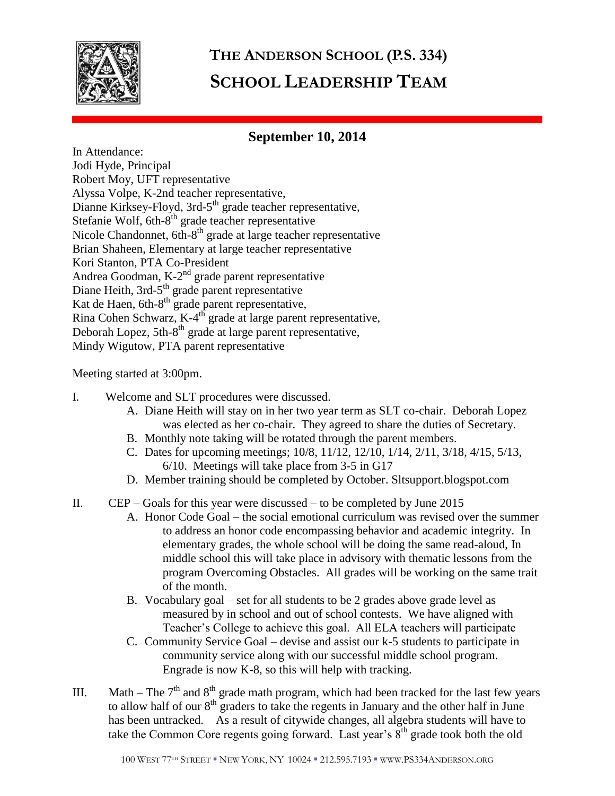

## **THE ANDERSON SCHOOL (P.S. 334) SCHOOL LEADERSHIP TEAM**

## **September 10, 2014**

In Attendance: Jodi Hyde, Principal Robert Moy, UFT representative Alyssa Volpe, K-2nd teacher representative, Dianne Kirksey-Floyd, 3rd-5<sup>th</sup> grade teacher representative, Stefanie Wolf, 6th-8<sup>th</sup> grade teacher representative Nicole Chandonnet, 6th-8<sup>th</sup> grade at large teacher representative Brian Shaheen, Elementary at large teacher representative Kori Stanton, PTA Co-President Andrea Goodman, K-2<sup>nd</sup> grade parent representative Diane Heith, 3rd-5<sup>th</sup> grade parent representative Kat de Haen, 6th- $8<sup>th</sup>$  grade parent representative, Rina Cohen Schwarz,  $K-4$ <sup>th</sup> grade at large parent representative, Deborah Lopez, 5th-8<sup>th</sup> grade at large parent representative, Mindy Wigutow, PTA parent representative

## Meeting started at 3:00pm.

- I. Welcome and SLT procedures were discussed.
	- A. Diane Heith will stay on in her two year term as SLT co-chair. Deborah Lopez was elected as her co-chair. They agreed to share the duties of Secretary.
	- B. Monthly note taking will be rotated through the parent members.
	- C. Dates for upcoming meetings; 10/8, 11/12, 12/10, 1/14, 2/11, 3/18, 4/15, 5/13, 6/10. Meetings will take place from 3-5 in G17
	- D. Member training should be completed by October. Sltsupport.blogspot.com
- II. CEP Goals for this year were discussed to be completed by June 2015
	- A. Honor Code Goal the social emotional curriculum was revised over the summer to address an honor code encompassing behavior and academic integrity. In elementary grades, the whole school will be doing the same read-aloud, In middle school this will take place in advisory with thematic lessons from the program Overcoming Obstacles. All grades will be working on the same trait of the month.
	- B. Vocabulary goal set for all students to be 2 grades above grade level as measured by in school and out of school contests. We have aligned with Teacher's College to achieve this goal. All ELA teachers will participate
	- C. Community Service Goal devise and assist our k-5 students to participate in community service along with our successful middle school program. Engrade is now K-8, so this will help with tracking.
- III. Math The  $7<sup>th</sup>$  and  $8<sup>th</sup>$  grade math program, which had been tracked for the last few years to allow half of our  $8<sup>th</sup>$  graders to take the regents in January and the other half in June has been untracked. As a result of citywide changes, all algebra students will have to take the Common Core regents going forward. Last year's  $8<sup>th</sup>$  grade took both the old